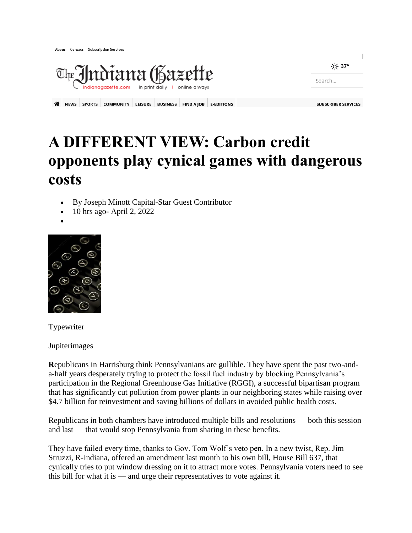

A NEWS SPORTS COMMUNITY LEISURE BUSINESS FIND A JOB E-EDITIONS

## `o' 37° Search...

## **A DIFFERENT VIEW: Carbon credit opponents play cynical games with dangerous costs**

- By Joseph Minott Capital-Star Guest Contributor
- 10 hrs ago- April 2, 2022
- $\bullet$



Typewriter

Jupiterimages

**R**epublicans in Harrisburg think Pennsylvanians are gullible. They have spent the past two-anda-half years desperately trying to protect the fossil fuel industry by blocking Pennsylvania's participation in the Regional Greenhouse Gas Initiative (RGGI), a successful bipartisan program that has significantly cut pollution from power plants in our neighboring states while raising over \$4.7 billion for reinvestment and saving billions of dollars in avoided public health costs.

Republicans in both chambers have introduced multiple bills and resolutions — both this session and last — that would stop Pennsylvania from sharing in these benefits.

They have failed every time, thanks to Gov. Tom Wolf's veto pen. In a new twist, Rep. Jim Struzzi, R-Indiana, offered an amendment last month to his own bill, House Bill 637, that cynically tries to put window dressing on it to attract more votes. Pennsylvania voters need to see this bill for what it is — and urge their representatives to vote against it.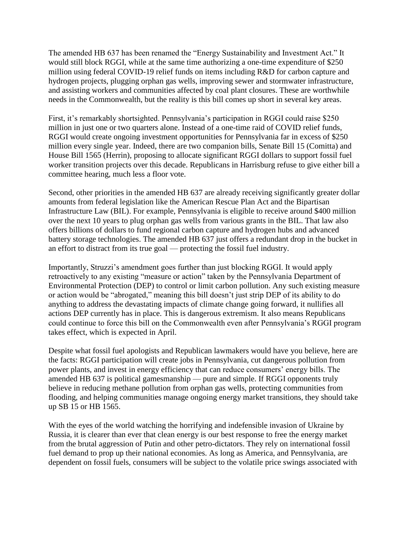The amended HB 637 has been renamed the "Energy Sustainability and Investment Act." It would still block RGGI, while at the same time authorizing a one-time expenditure of \$250 million using federal COVID-19 relief funds on items including R&D for carbon capture and hydrogen projects, plugging orphan gas wells, improving sewer and stormwater infrastructure, and assisting workers and communities affected by coal plant closures. These are worthwhile needs in the Commonwealth, but the reality is this bill comes up short in several key areas.

First, it's remarkably shortsighted. Pennsylvania's participation in RGGI could raise \$250 million in just one or two quarters alone. Instead of a one-time raid of COVID relief funds, RGGI would create ongoing investment opportunities for Pennsylvania far in excess of \$250 million every single year. Indeed, there are two companion bills, Senate Bill 15 (Comitta) and House Bill 1565 (Herrin), proposing to allocate significant RGGI dollars to support fossil fuel worker transition projects over this decade. Republicans in Harrisburg refuse to give either bill a committee hearing, much less a floor vote.

Second, other priorities in the amended HB 637 are already receiving significantly greater dollar amounts from federal legislation like the American Rescue Plan Act and the Bipartisan Infrastructure Law (BIL). For example, Pennsylvania is eligible to receive around \$400 million over the next 10 years to plug orphan gas wells from various grants in the BIL. That law also offers billions of dollars to fund regional carbon capture and hydrogen hubs and advanced battery storage technologies. The amended HB 637 just offers a redundant drop in the bucket in an effort to distract from its true goal — protecting the fossil fuel industry.

Importantly, Struzzi's amendment goes further than just blocking RGGI. It would apply retroactively to any existing "measure or action" taken by the Pennsylvania Department of Environmental Protection (DEP) to control or limit carbon pollution. Any such existing measure or action would be "abrogated," meaning this bill doesn't just strip DEP of its ability to do anything to address the devastating impacts of climate change going forward, it nullifies all actions DEP currently has in place. This is dangerous extremism. It also means Republicans could continue to force this bill on the Commonwealth even after Pennsylvania's RGGI program takes effect, which is expected in April.

Despite what fossil fuel apologists and Republican lawmakers would have you believe, here are the facts: RGGI participation will create jobs in Pennsylvania, cut dangerous pollution from power plants, and invest in energy efficiency that can reduce consumers' energy bills. The amended HB 637 is political gamesmanship — pure and simple. If RGGI opponents truly believe in reducing methane pollution from orphan gas wells, protecting communities from flooding, and helping communities manage ongoing energy market transitions, they should take up SB 15 or HB 1565.

With the eyes of the world watching the horrifying and indefensible invasion of Ukraine by Russia, it is clearer than ever that clean energy is our best response to free the energy market from the brutal aggression of Putin and other petro-dictators. They rely on international fossil fuel demand to prop up their national economies. As long as America, and Pennsylvania, are dependent on fossil fuels, consumers will be subject to the volatile price swings associated with